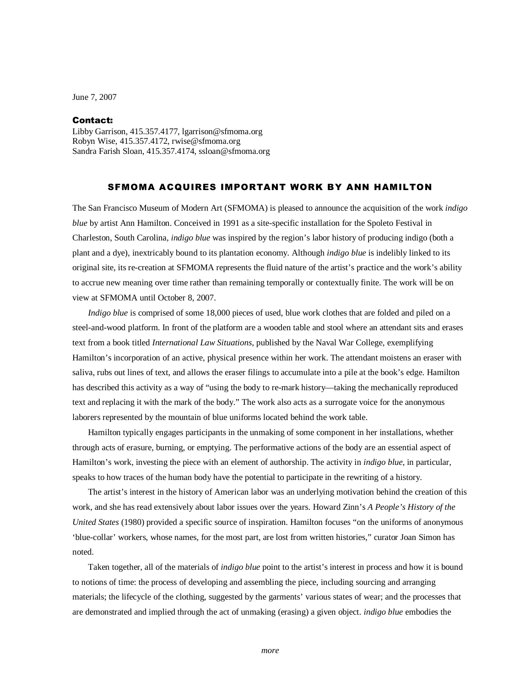June 7, 2007

## Contact:

Libby Garrison, 415.357.4177, lgarrison@sfmoma.org Robyn Wise, 415.357.4172, rwise@sfmoma.org Sandra Farish Sloan, 415.357.4174, ssloan@sfmoma.org

## SFMOMA ACQUIRES IMPORTANT WORK BY ANN HAMILTON

The San Francisco Museum of Modern Art (SFMOMA) is pleased to announce the acquisition of the work *indigo blue* by artist Ann Hamilton. Conceived in 1991 as a site-specific installation for the Spoleto Festival in Charleston, South Carolina, *indigo blue* was inspired by the region's labor history of producing indigo (both a plant and a dye), inextricably bound to its plantation economy. Although *indigo blue* is indelibly linked to its original site, its re-creation at SFMOMA represents the fluid nature of the artist's practice and the work's ability to accrue new meaning over time rather than remaining temporally or contextually finite. The work will be on view at SFMOMA until October 8, 2007.

*Indigo blue* is comprised of some 18,000 pieces of used, blue work clothes that are folded and piled on a steel-and-wood platform. In front of the platform are a wooden table and stool where an attendant sits and erases text from a book titled *International Law Situations*, published by the Naval War College, exemplifying Hamilton's incorporation of an active, physical presence within her work. The attendant moistens an eraser with saliva, rubs out lines of text, and allows the eraser filings to accumulate into a pile at the book's edge. Hamilton has described this activity as a way of "using the body to re-mark history—taking the mechanically reproduced text and replacing it with the mark of the body." The work also acts as a surrogate voice for the anonymous laborers represented by the mountain of blue uniforms located behind the work table.

 Hamilton typically engages participants in the unmaking of some component in her installations, whether through acts of erasure, burning, or emptying. The performative actions of the body are an essential aspect of Hamilton's work, investing the piece with an element of authorship. The activity in *indigo blue*, in particular, speaks to how traces of the human body have the potential to participate in the rewriting of a history.

The artist's interest in the history of American labor was an underlying motivation behind the creation of this work, and she has read extensively about labor issues over the years. Howard Zinn's *A People's History of the United States* (1980) provided a specific source of inspiration. Hamilton focuses "on the uniforms of anonymous 'blue-collar' workers, whose names, for the most part, are lost from written histories," curator Joan Simon has noted.

Taken together, all of the materials of *indigo blue* point to the artist's interest in process and how it is bound to notions of time: the process of developing and assembling the piece, including sourcing and arranging materials; the lifecycle of the clothing, suggested by the garments' various states of wear; and the processes that are demonstrated and implied through the act of unmaking (erasing) a given object. *indigo blue* embodies the